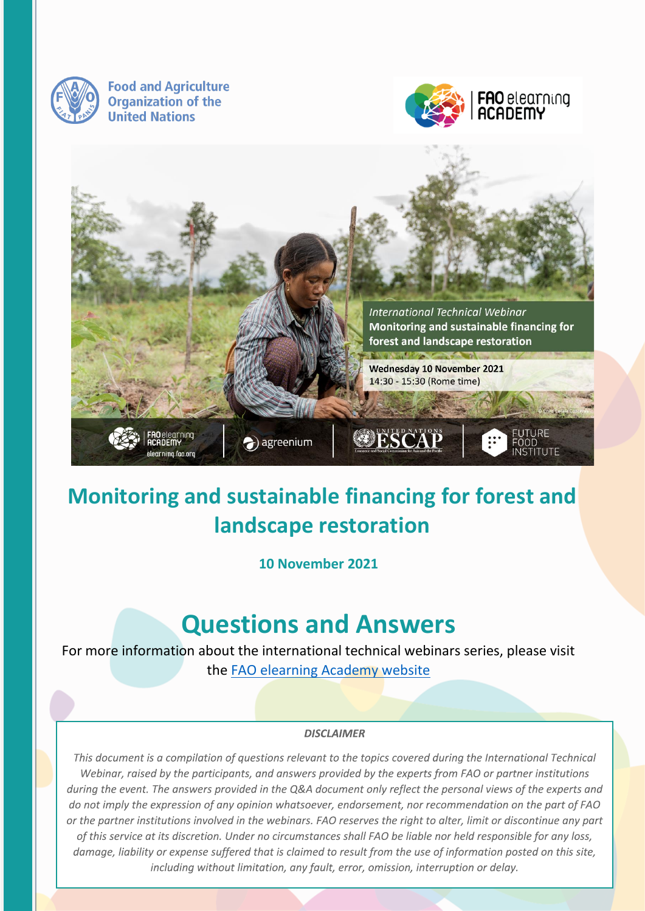

**Food and Agriculture Organization of the United Nations** 





# **Monitoring and sustainable financing for forest and landscape restoration**

**10 November 2021**

# **Questions and Answers**

For more information about the international technical webinars series, please visit the [FAO elearning Academy website](https://elearning.fao.org/)

#### **DISCLAIMER**

This document is a compilation of questions relevant to the topics covered during the International Technical Webinar, raised by the participants, and answers provided by the experts from FAO or partner institutions during the event. The answers provided in the Q&A document only reflect the personal views of the experts and do not imply the expression of any opinion whatsoever, endorsement, nor recommendation on the part of FAO or the partner institutions involved in the webinars. FAO reserves the right to alter, limit or discontinue any part of this service at its discretion. Under no circumstances shall FAO be liable nor held responsible for any loss, damage, liability or expense suffered that is claimed to result from the use of information posted on this site, including without limitation, any fault, error, omission, interruption or delay.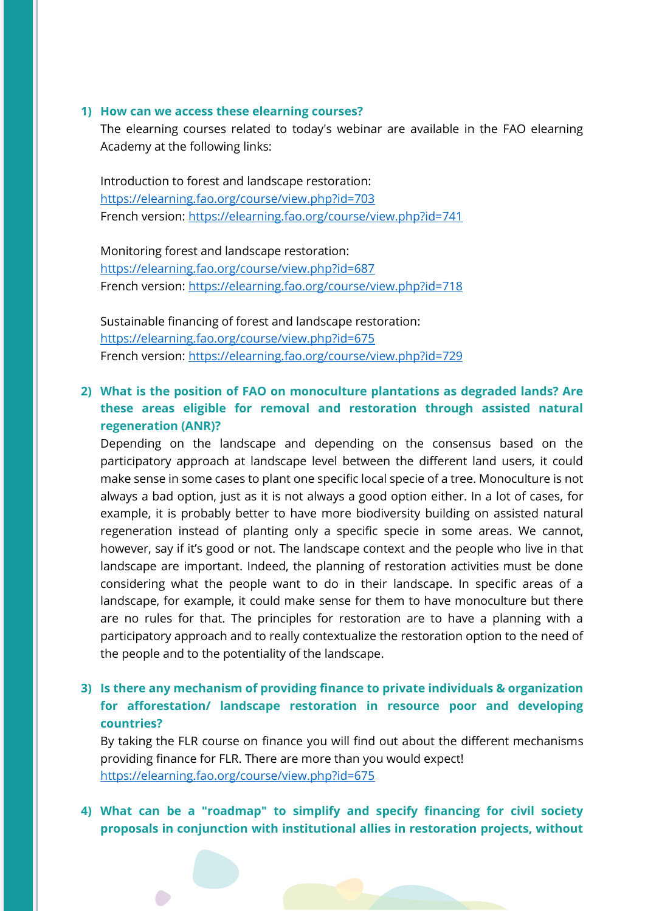#### **1) How can we access these elearning courses?**

The elearning courses related to today's webinar are available in the FAO elearning Academy at the following links:

Introduction to forest and landscape restoration: <https://elearning.fao.org/course/view.php?id=703> French version:<https://elearning.fao.org/course/view.php?id=741>

Monitoring forest and landscape restoration: <https://elearning.fao.org/course/view.php?id=687> French version:<https://elearning.fao.org/course/view.php?id=718>

Sustainable financing of forest and landscape restoration: <https://elearning.fao.org/course/view.php?id=675> French version:<https://elearning.fao.org/course/view.php?id=729>

## **2) What is the position of FAO on monoculture plantations as degraded lands? Are these areas eligible for removal and restoration through assisted natural regeneration (ANR)?**

Depending on the landscape and depending on the consensus based on the participatory approach at landscape level between the different land users, it could make sense in some cases to plant one specific local specie of a tree. Monoculture is not always a bad option, just as it is not always a good option either. In a lot of cases, for example, it is probably better to have more biodiversity building on assisted natural regeneration instead of planting only a specific specie in some areas. We cannot, however, say if it's good or not. The landscape context and the people who live in that landscape are important. Indeed, the planning of restoration activities must be done considering what the people want to do in their landscape. In specific areas of a landscape, for example, it could make sense for them to have monoculture but there are no rules for that. The principles for restoration are to have a planning with a participatory approach and to really contextualize the restoration option to the need of the people and to the potentiality of the landscape.

## **3) Is there any mechanism of providing finance to private individuals & organization for afforestation/ landscape restoration in resource poor and developing countries?**

By taking the FLR course on finance you will find out about the different mechanisms providing finance for FLR. There are more than you would expect! <https://elearning.fao.org/course/view.php?id=675>

# **4) What can be a "roadmap" to simplify and specify financing for civil society proposals in conjunction with institutional allies in restoration projects, without**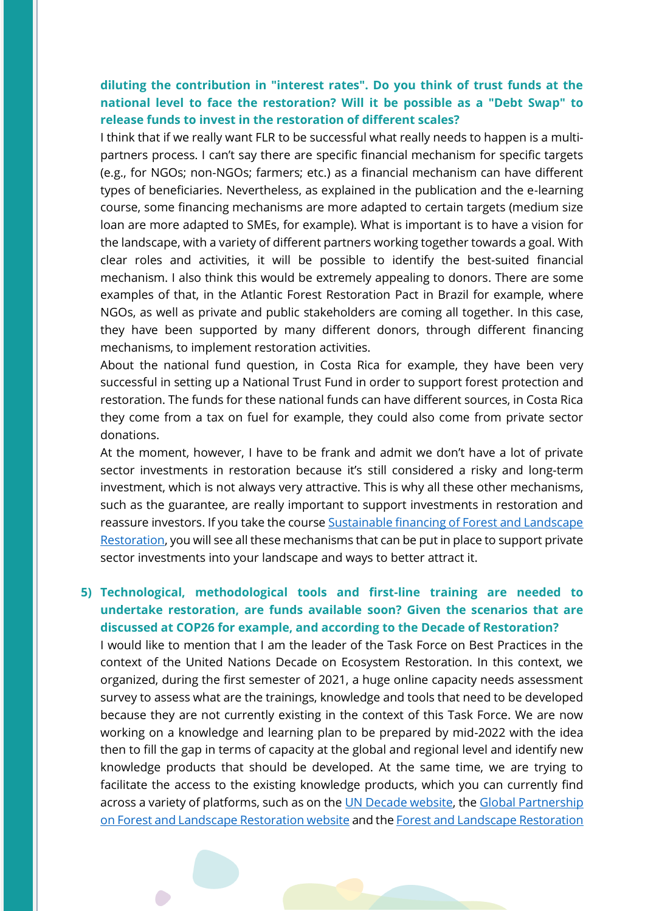# **diluting the contribution in "interest rates". Do you think of trust funds at the national level to face the restoration? Will it be possible as a "Debt Swap" to release funds to invest in the restoration of different scales?**

I think that if we really want FLR to be successful what really needs to happen is a multipartners process. I can't say there are specific financial mechanism for specific targets (e.g., for NGOs; non-NGOs; farmers; etc.) as a financial mechanism can have different types of beneficiaries. Nevertheless, as explained in the publication and the e-learning course, some financing mechanisms are more adapted to certain targets (medium size loan are more adapted to SMEs, for example). What is important is to have a vision for the landscape, with a variety of different partners working together towards a goal. With clear roles and activities, it will be possible to identify the best-suited financial mechanism. I also think this would be extremely appealing to donors. There are some examples of that, in the Atlantic Forest Restoration Pact in Brazil for example, where NGOs, as well as private and public stakeholders are coming all together. In this case, they have been supported by many different donors, through different financing mechanisms, to implement restoration activities.

About the national fund question, in Costa Rica for example, they have been very successful in setting up a National Trust Fund in order to support forest protection and restoration. The funds for these national funds can have different sources, in Costa Rica they come from a tax on fuel for example, they could also come from private sector donations.

At the moment, however, I have to be frank and admit we don't have a lot of private sector investments in restoration because it's still considered a risky and long-term investment, which is not always very attractive. This is why all these other mechanisms, such as the guarantee, are really important to support investments in restoration and reassure investors. If you take the course [Sustainable financing of Forest and Landscape](https://elearning.fao.org/course/view.php?id=675)  [Restoration,](https://elearning.fao.org/course/view.php?id=675) you will see all these mechanisms that can be put in place to support private sector investments into your landscape and ways to better attract it.

**5) Technological, methodological tools and first-line training are needed to undertake restoration, are funds available soon? Given the scenarios that are discussed at COP26 for example, and according to the Decade of Restoration?** 

I would like to mention that I am the leader of the Task Force on Best Practices in the context of the United Nations Decade on Ecosystem Restoration. In this context, we organized, during the first semester of 2021, a huge online capacity needs assessment survey to assess what are the trainings, knowledge and tools that need to be developed because they are not currently existing in the context of this Task Force. We are now working on a knowledge and learning plan to be prepared by mid-2022 with the idea then to fill the gap in terms of capacity at the global and regional level and identify new knowledge products that should be developed. At the same time, we are trying to facilitate the access to the existing knowledge products, which you can currently find across a variety of platforms, such as on the [UN Decade website,](https://www.decadeonrestoration.org/) the [Global Partnership](https://www.forestlandscaperestoration.org/)  [on Forest and Landscape Restoration](https://www.forestlandscaperestoration.org/) [website](https://www.forestlandscaperestoration.org/) and the [Forest and Landscape Restoration](https://www.fao.org/in-action/forest-landscape-restoration-mechanism/en/)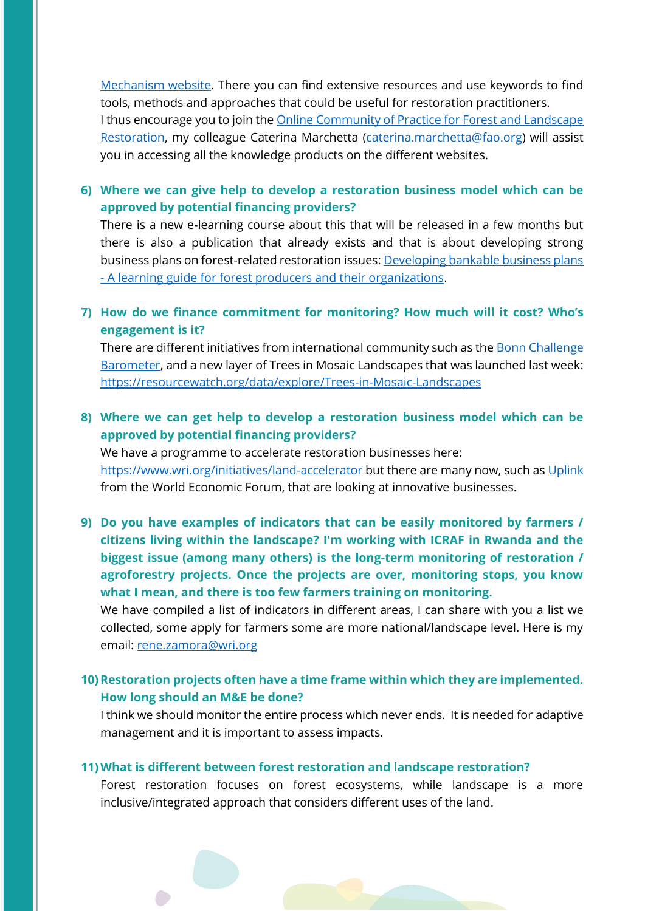[Mechanism website.](https://www.fao.org/in-action/forest-landscape-restoration-mechanism/en/) There you can find extensive resources and use keywords to find tools, methods and approaches that could be useful for restoration practitioners. I thus encourage you to join the [Online Community of Practice](https://dgroups.org/fao/forest-and-landscape-restoration) for Forest and Landscape [Restoration,](https://dgroups.org/fao/forest-and-landscape-restoration) my colleague Caterina Marchetta [\(caterina.marchetta@fao.org\)](mailto:caterina.marchetta@fao.org) will assist you in accessing all the knowledge products on the different websites.

**6) Where we can give help to develop a restoration business model which can be approved by potential financing providers?**

There is a new e-learning course about this that will be released in a few months but there is also a publication that already exists and that is about developing strong business plans on forest-related restoration issues: [Developing bankable business plans](https://www.fao.org/documents/card/en/c/cb4520en/)  - [A learning guide for forest producers and their organizations.](https://www.fao.org/documents/card/en/c/cb4520en/)

#### **7) How do we finance commitment for monitoring? How much will it cost? Who's engagement is it?**

There are different initiatives from international community such as the **Bonn Challenge** [Barometer,](https://infoflr.org/bonn-challenge-barometer) and a new layer of Trees in Mosaic Landscapes that was launched last week: <https://resourcewatch.org/data/explore/Trees-in-Mosaic-Landscapes>

## **8) Where we can get help to develop a restoration business model which can be approved by potential financing providers?**

We have a programme to accelerate restoration businesses here: <https://www.wri.org/initiatives/land-accelerator> but there are many now, such as [Uplink](https://uplink.weforum.org/uplink/s/) from the World Economic Forum, that are looking at innovative businesses.

**9) Do you have examples of indicators that can be easily monitored by farmers / citizens living within the landscape? I'm working with ICRAF in Rwanda and the biggest issue (among many others) is the long-term monitoring of restoration / agroforestry projects. Once the projects are over, monitoring stops, you know what I mean, and there is too few farmers training on monitoring.**

We have compiled a list of indicators in different areas, I can share with you a list we collected, some apply for farmers some are more national/landscape level. Here is my email: [rene.zamora@wri.org](mailto:rene.zamora@wri.org)

## **10)Restoration projects often have a time frame within which they are implemented. How long should an M&E be done?**

I think we should monitor the entire process which never ends. It is needed for adaptive management and it is important to assess impacts.

#### **11)What is different between forest restoration and landscape restoration?**

Forest restoration focuses on forest ecosystems, while landscape is a more inclusive/integrated approach that considers different uses of the land.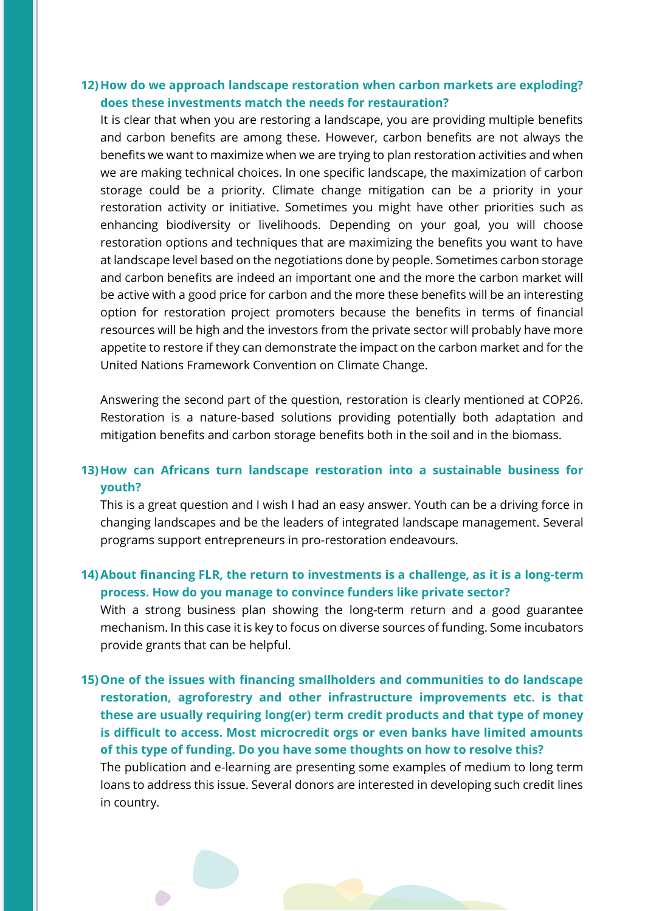#### **12)How do we approach landscape restoration when carbon markets are exploding? does these investments match the needs for restauration?**

It is clear that when you are restoring a landscape, you are providing multiple benefits and carbon benefits are among these. However, carbon benefits are not always the benefits we want to maximize when we are trying to plan restoration activities and when we are making technical choices. In one specific landscape, the maximization of carbon storage could be a priority. Climate change mitigation can be a priority in your restoration activity or initiative. Sometimes you might have other priorities such as enhancing biodiversity or livelihoods. Depending on your goal, you will choose restoration options and techniques that are maximizing the benefits you want to have at landscape level based on the negotiations done by people. Sometimes carbon storage and carbon benefits are indeed an important one and the more the carbon market will be active with a good price for carbon and the more these benefits will be an interesting option for restoration project promoters because the benefits in terms of financial resources will be high and the investors from the private sector will probably have more appetite to restore if they can demonstrate the impact on the carbon market and for the United Nations Framework Convention on Climate Change.

Answering the second part of the question, restoration is clearly mentioned at COP26. Restoration is a nature-based solutions providing potentially both adaptation and mitigation benefits and carbon storage benefits both in the soil and in the biomass.

#### **13)How can Africans turn landscape restoration into a sustainable business for youth?**

This is a great question and I wish I had an easy answer. Youth can be a driving force in changing landscapes and be the leaders of integrated landscape management. Several programs support entrepreneurs in pro-restoration endeavours.

#### **14)About financing FLR, the return to investments is a challenge, as it is a long-term process. How do you manage to convince funders like private sector?**

With a strong business plan showing the long-term return and a good guarantee mechanism. In this case it is key to focus on diverse sources of funding. Some incubators provide grants that can be helpful.

**15)One of the issues with financing smallholders and communities to do landscape restoration, agroforestry and other infrastructure improvements etc. is that these are usually requiring long(er) term credit products and that type of money is difficult to access. Most microcredit orgs or even banks have limited amounts of this type of funding. Do you have some thoughts on how to resolve this?**

The publication and e-learning are presenting some examples of medium to long term loans to address this issue. Several donors are interested in developing such credit lines in country.